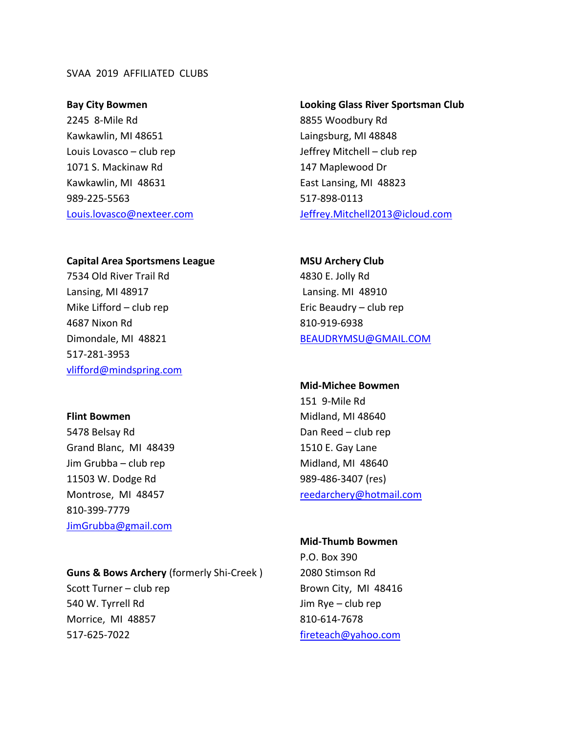### SVAA 2019 AFFILIATED CLUBS

#### **Bay City Bowmen**

2245 8-Mile Rd Kawkawlin, MI 48651 Louis Lovasco – club rep 1071 S. Mackinaw Rd Kawkawlin, MI 48631 989-225-5563 [Louis.lovasco@nexteer.com](mailto:Louis.lovasco@nexteer.com)

#### **Capital Area Sportsmens League**

7534 Old River Trail Rd Lansing, MI 48917 Mike Lifford – club rep 4687 Nixon Rd Dimondale, MI 48821 517-281-3953 [vlifford@mindspring.com](mailto:vlifford@mindspring.com)

#### **Flint Bowmen**

5478 Belsay Rd Grand Blanc, MI 48439 Jim Grubba – club rep 11503 W. Dodge Rd Montrose, MI 48457 810-399-7779 [JimGrubba@gmail.com](mailto:JimGrubba@gmail.com)

## **Guns & Bows Archery** (formerly Shi-Creek )

Scott Turner – club rep 540 W. Tyrrell Rd Morrice, MI 48857 517-625-7022

# **Looking Glass River Sportsman Club** 8855 Woodbury Rd Laingsburg, MI 48848 Jeffrey Mitchell – club rep 147 Maplewood Dr East Lansing, MI 48823 517-898-0113 [Jeffrey.Mitchell2013@icloud.com](mailto:Jeffrey.Mitchell2013@icloud.com)

# **MSU Archery Club** 4830 E. Jolly Rd Lansing. MI 48910 Eric Beaudry – club rep 810-919-6938 [BEAUDRYMSU@GMAIL.COM](mailto:BEAUDRYMSU@GMAIL.COM)

#### **Mid-Michee Bowmen**

151 9-Mile Rd Midland, MI 48640 Dan Reed – club rep 1510 E. Gay Lane Midland, MI 48640 989-486-3407 (res) [reedarchery@hotmail.com](mailto:reedarchery@hotmail.com)

## **Mid-Thumb Bowmen**

P.O. Box 390 2080 Stimson Rd Brown City, MI 48416 Jim Rye – club rep 810-614-7678 [fireteach@yahoo.com](mailto:fireteach@yahoo.com)